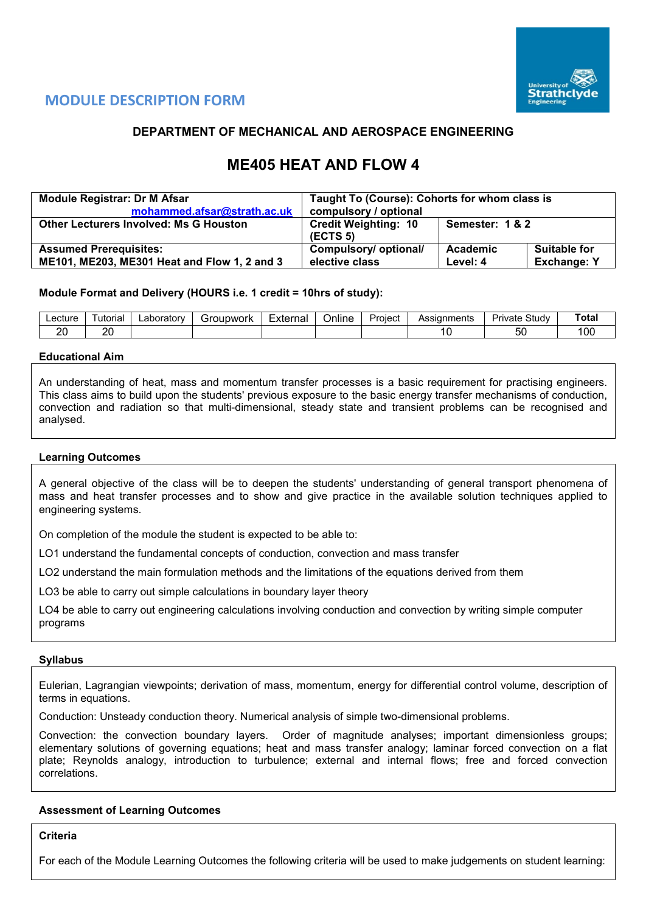

## **MODULE DESCRIPTION FORM**

## **DEPARTMENT OF MECHANICAL AND AEROSPACE ENGINEERING**

# **ME405 HEAT AND FLOW 4**

| <b>Module Registrar: Dr M Afsar</b>           | Taught To (Course): Cohorts for whom class is |                 |                     |  |  |
|-----------------------------------------------|-----------------------------------------------|-----------------|---------------------|--|--|
| mohammed.afsar@strath.ac.uk                   | compulsory / optional                         |                 |                     |  |  |
| <b>Other Lecturers Involved: Ms G Houston</b> | <b>Credit Weighting: 10</b><br>(ECTS 5)       | Semester: 1 & 2 |                     |  |  |
| <b>Assumed Prerequisites:</b>                 | Compulsory/ optional/                         | Academic        | <b>Suitable for</b> |  |  |
| ME101, ME203, ME301 Heat and Flow 1, 2 and 3  | elective class                                | Level: 4        | <b>Exchange: Y</b>  |  |  |

#### **Module Format and Delivery (HOURS i.e. 1 credit = 10hrs of study):**

| Lecture        | utoria    | ∟aboratorv | upwork<br>-irol | Externa | $\cdots$<br>⊃nlıne | Project | Assianments | Studv<br>Dri<br>'ivate | ™otaı |
|----------------|-----------|------------|-----------------|---------|--------------------|---------|-------------|------------------------|-------|
| ററ<br><u>.</u> | oc<br>- 1 |            |                 |         |                    |         |             | ວເ                     | 00    |

#### **Educational Aim**

An understanding of heat, mass and momentum transfer processes is a basic requirement for practising engineers. This class aims to build upon the students' previous exposure to the basic energy transfer mechanisms of conduction, convection and radiation so that multi-dimensional, steady state and transient problems can be recognised and analysed.

#### **Learning Outcomes**

A general objective of the class will be to deepen the students' understanding of general transport phenomena of mass and heat transfer processes and to show and give practice in the available solution techniques applied to engineering systems.

On completion of the module the student is expected to be able to:

LO1 understand the fundamental concepts of conduction, convection and mass transfer

LO2 understand the main formulation methods and the limitations of the equations derived from them

LO3 be able to carry out simple calculations in boundary layer theory

LO4 be able to carry out engineering calculations involving conduction and convection by writing simple computer programs

#### **Syllabus**

Eulerian, Lagrangian viewpoints; derivation of mass, momentum, energy for differential control volume, description of terms in equations.

Conduction: Unsteady conduction theory. Numerical analysis of simple two-dimensional problems.

Convection: the convection boundary layers. Order of magnitude analyses; important dimensionless groups; elementary solutions of governing equations; heat and mass transfer analogy; laminar forced convection on a flat plate; Reynolds analogy, introduction to turbulence; external and internal flows; free and forced convection correlations.

#### **Assessment of Learning Outcomes**

**Criteria**

For each of the Module Learning Outcomes the following criteria will be used to make judgements on student learning: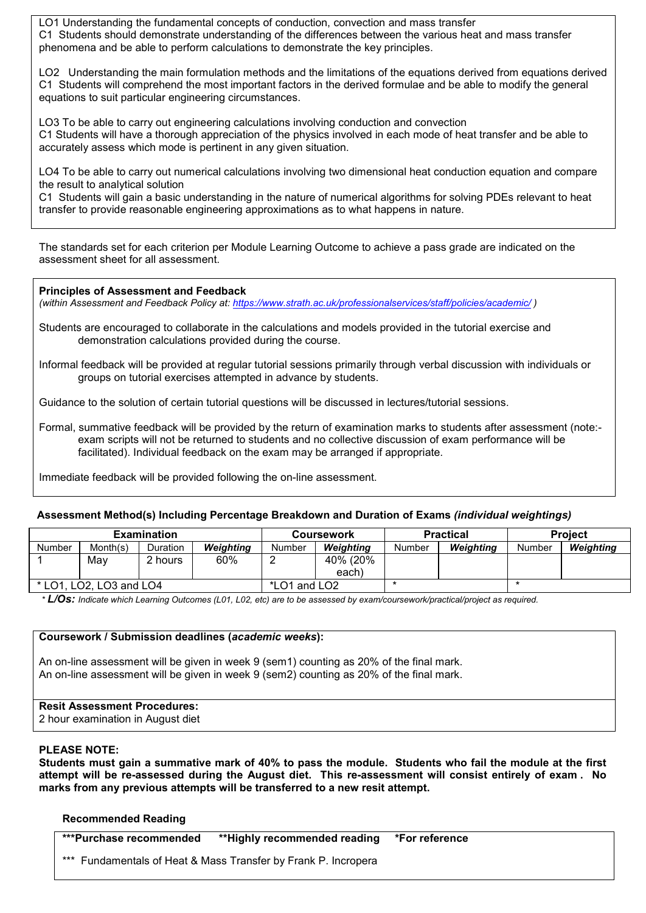LO1 Understanding the fundamental concepts of conduction, convection and mass transfer C1 Students should demonstrate understanding of the differences between the various heat and mass transfer phenomena and be able to perform calculations to demonstrate the key principles.

LO2 Understanding the main formulation methods and the limitations of the equations derived from equations derived C1 Students will comprehend the most important factors in the derived formulae and be able to modify the general equations to suit particular engineering circumstances.

LO3 To be able to carry out engineering calculations involving conduction and convection C1 Students will have a thorough appreciation of the physics involved in each mode of heat transfer and be able to accurately assess which mode is pertinent in any given situation.

LO4 To be able to carry out numerical calculations involving two dimensional heat conduction equation and compare the result to analytical solution

C1 Students will gain a basic understanding in the nature of numerical algorithms for solving PDEs relevant to heat transfer to provide reasonable engineering approximations as to what happens in nature.

The standards set for each criterion per Module Learning Outcome to achieve a pass grade are indicated on the assessment sheet for all assessment.

**Principles of Assessment and Feedback** *(within Assessment and Feedback Policy at: <https://www.strath.ac.uk/professionalservices/staff/policies/academic/> )*

- Students are encouraged to collaborate in the calculations and models provided in the tutorial exercise and demonstration calculations provided during the course.
- Informal feedback will be provided at regular tutorial sessions primarily through verbal discussion with individuals or groups on tutorial exercises attempted in advance by students.

Guidance to the solution of certain tutorial questions will be discussed in lectures/tutorial sessions.

Formal, summative feedback will be provided by the return of examination marks to students after assessment (note: exam scripts will not be returned to students and no collective discussion of exam performance will be facilitated). Individual feedback on the exam may be arranged if appropriate.

Immediate feedback will be provided following the on-line assessment.

#### **Assessment Method(s) Including Percentage Breakdown and Duration of Exams** *(individual weightings)*

| <b>Examination</b>             |          |          |              | <b>Coursework</b> |           |        | <b>Practical</b> | <b>Project</b> |           |
|--------------------------------|----------|----------|--------------|-------------------|-----------|--------|------------------|----------------|-----------|
| Number                         | Month(s) | Duration | Weighting    | Number            | Weiahtina | Number | <b>Weighting</b> | Number         | Weighting |
|                                | Mav      | 2 hours  | 60%          |                   | 40% (20%  |        |                  |                |           |
|                                |          |          |              |                   | each)     |        |                  |                |           |
| $*$ LO1.<br>, LO2, LO3 and LO4 |          |          | *LO1 and LO2 |                   |           |        |                  |                |           |

*\* L/Os: Indicate which Learning Outcomes (L01, L02, etc) are to be assessed by exam/coursework/practical/project as required.*

#### **Coursework / Submission deadlines (***academic weeks***):**

An on-line assessment will be given in week 9 (sem1) counting as 20% of the final mark. An on-line assessment will be given in week 9 (sem2) counting as 20% of the final mark.

## **Resit Assessment Procedures:**

2 hour examination in August diet

### **PLEASE NOTE:**

**Students must gain a summative mark of 40% to pass the module. Students who fail the module at the first attempt will be re-assessed during the August diet. This re-assessment will consist entirely of exam . No marks from any previous attempts will be transferred to a new resit attempt.**

#### **Recommended Reading**

| ***Purchase recommended | **Highly recommended reading *For reference                    |  |  |  |  |
|-------------------------|----------------------------------------------------------------|--|--|--|--|
|                         | *** Fundamentals of Heat & Mass Transfer by Frank P. Incropera |  |  |  |  |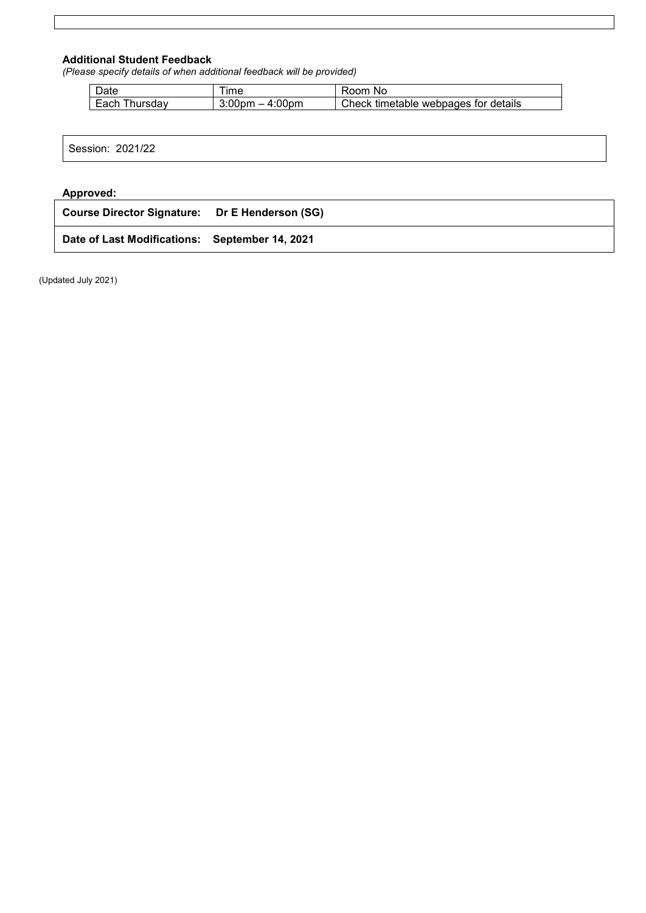## **Additional Student Feedback**

*(Please specify details of when additional feedback will be provided)*

| ⊃ate            | ıme                                                          | Room.<br>.NO                         |
|-----------------|--------------------------------------------------------------|--------------------------------------|
| hursdav<br>Each | $-4:00$ pm<br>3:00 <sub>pm</sub><br>$\overline{\phantom{0}}$ | Check timetable webpages for details |

### **Approved:**

| Course Director Signature: Dr E Henderson (SG) |  |
|------------------------------------------------|--|
| Date of Last Modifications: September 14, 2021 |  |

(Updated July 2021)